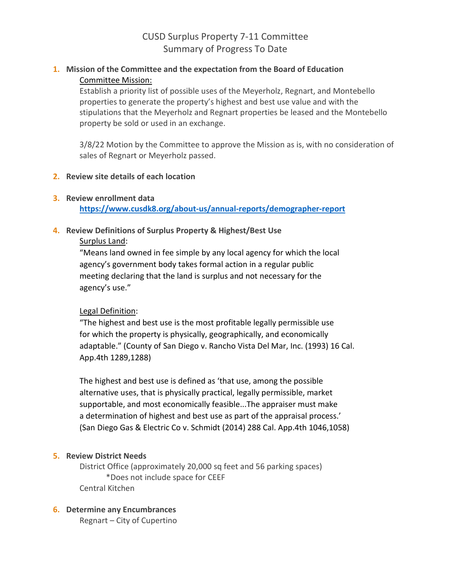# CUSD Surplus Property 7-11 Committee Summary of Progress To Date

## **1. Mission of the Committee and the expectation from the Board of Education** Committee Mission:

Establish a priority list of possible uses of the Meyerholz, Regnart, and Montebello properties to generate the property's highest and best use value and with the stipulations that the Meyerholz and Regnart properties be leased and the Montebello property be sold or used in an exchange.

3/8/22 Motion by the Committee to approve the Mission as is, with no consideration of sales of Regnart or Meyerholz passed.

## **2. Review site details of each location**

#### **3. Review enrollment data**

**<https://www.cusdk8.org/about-us/annual-reports/demographer-report>**

## **4. Review Definitions of Surplus Property & Highest/Best Use**

#### Surplus Land:

"Means land owned in fee simple by any local agency for which the local agency's government body takes formal action in a regular public meeting declaring that the land is surplus and not necessary for the agency's use."

## Legal Definition:

"The highest and best use is the most profitable legally permissible use for which the property is physically, geographically, and economically adaptable." (County of San Diego v. Rancho Vista Del Mar, Inc. (1993) 16 Cal. App.4th 1289,1288)

The highest and best use is defined as 'that use, among the possible alternative uses, that is physically practical, legally permissible, market supportable, and most economically feasible...The appraiser must make a determination of highest and best use as part of the appraisal process.' (San Diego Gas & Electric Co v. Schmidt (2014) 288 Cal. App.4th 1046,1058)

## **5. Review District Needs**

District Office (approximately 20,000 sq feet and 56 parking spaces) \*Does not include space for CEEF Central Kitchen

## **6. Determine any Encumbrances**

Regnart – City of Cupertino